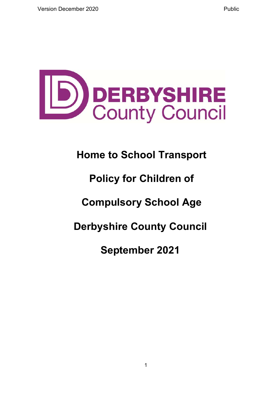

# **Home to School Transport**

# **Policy for Children of**

# **Compulsory School Age**

# **Derbyshire County Council**

# **September 2021**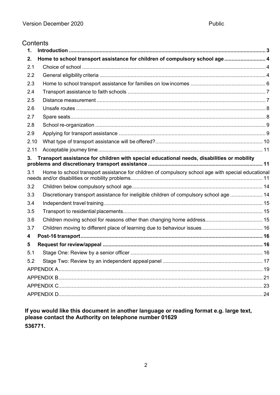#### **Contents**

| $\mathbf 1$ |                                                                                                    |  |
|-------------|----------------------------------------------------------------------------------------------------|--|
| 2.          | Home to school transport assistance for children of compulsory school age 4                        |  |
| 2.1         |                                                                                                    |  |
| 2.2         |                                                                                                    |  |
| 2.3         |                                                                                                    |  |
| 2.4         |                                                                                                    |  |
| 2.5         |                                                                                                    |  |
| 2.6         |                                                                                                    |  |
| 2.7         |                                                                                                    |  |
| 2.8         |                                                                                                    |  |
| 2.9         |                                                                                                    |  |
| 2.10        |                                                                                                    |  |
| 2.11        |                                                                                                    |  |
| 3.          | Transport assistance for children with special educational needs, disabilities or mobility         |  |
| 3.1         | Home to school transport assistance for children of compulsory school age with special educational |  |
| 3.2         |                                                                                                    |  |
| 3.3         | Discretionary transport assistance for ineligible children of compulsory school age  14            |  |
| 3.4         |                                                                                                    |  |
| 3.5         |                                                                                                    |  |
| 3.6         |                                                                                                    |  |
| 3.7         |                                                                                                    |  |
| 4           |                                                                                                    |  |
| 5           |                                                                                                    |  |
| 5.1         |                                                                                                    |  |
| 5.2         |                                                                                                    |  |
|             |                                                                                                    |  |
|             |                                                                                                    |  |
|             |                                                                                                    |  |
|             |                                                                                                    |  |

**If you would like this document in another language or reading format e.g. large text, please contact the Authority on telephone number 01629 536771.**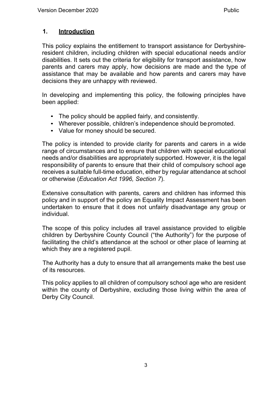# <span id="page-2-0"></span>**1. Introduction**

This policy explains the entitlement to transport assistance for Derbyshireresident children, including children with special educational needs and/or disabilities. It sets out the criteria for eligibility for transport assistance, how parents and carers may apply, how decisions are made and the type of assistance that may be available and how parents and carers may have decisions they are unhappy with reviewed.

In developing and implementing this policy, the following principles have been applied:

- The policy should be applied fairly, and consistently.
- Wherever possible, children's independence should be promoted.
- Value for money should be secured.

The policy is intended to provide clarity for parents and carers in a wide range of circumstances and to ensure that children with special educational needs and/or disabilities are appropriately supported. However, it is the legal responsibility of parents to ensure that their child of compulsory school age receives a suitable full-time education, either by regular attendance at school or otherwise (*Education Act 1996, Section 7*).

Extensive consultation with parents, carers and children has informed this policy and in support of the policy an Equality Impact Assessment has been undertaken to ensure that it does not unfairly disadvantage any group or individual.

The scope of this policy includes all travel assistance provided to eligible children by Derbyshire County Council ("the Authority") for the purpose of facilitating the child's attendance at the school or other place of learning at which they are a registered pupil.

The Authority has a duty to ensure that all arrangements make the best use of its resources.

This policy applies to all children of compulsory school age who are resident within the county of Derbyshire, excluding those living within the area of Derby City Council.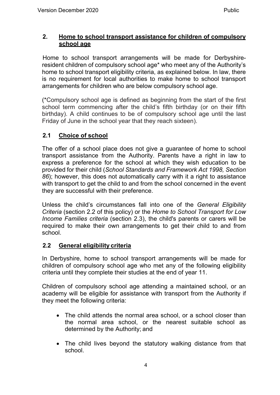# <span id="page-3-0"></span>**2. Home to school transport assistance for children of compulsory school age**

Home to school transport arrangements will be made for Derbyshireresident children of compulsory school age\* who meet any of the Authority's home to school transport eligibility criteria, as explained below. In law, there is no requirement for local authorities to make home to school transport arrangements for children who are below compulsory school age.

(\*Compulsory school age is defined as beginning from the start of the first school term commencing after the child's fifth birthday (or on their fifth birthday). A child continues to be of compulsory school age until the last Friday of June in the school year that they reach sixteen).

# <span id="page-3-1"></span>**2.1 Choice of school**

The offer of a school place does not give a guarantee of home to school transport assistance from the Authority. Parents have a right in law to express a preference for the school at which they wish education to be provided for their child (*School Standards and Framework Act 1998, Section 86*); however, this does not automatically carry with it a right to assistance with transport to get the child to and from the school concerned in the event they are successful with their preference.

Unless the child's circumstances fall into one of the *General Eligibility Criteria* (section 2.2 of this policy) or the *Home to School Transport for Low Income Families criteria* (section 2.3), the child's parents or carers will be required to make their own arrangements to get their child to and from school.

# <span id="page-3-2"></span>**2.2 General eligibility criteria**

In Derbyshire, home to school transport arrangements will be made for children of compulsory school age who met any of the following eligibility criteria until they complete their studies at the end of year 11.

Children of compulsory school age attending a maintained school, or an academy will be eligible for assistance with transport from the Authority if they meet the following criteria:

- The child attends the normal area school, or a school closer than the normal area school, or the nearest suitable school as determined by the Authority; and
- The child lives beyond the statutory walking distance from that school.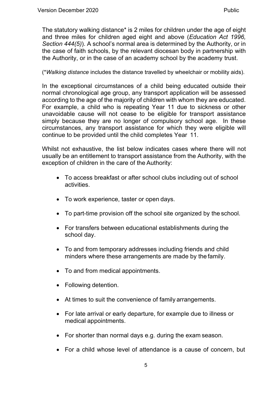The statutory walking distance\* is 2 miles for children under the age of eight and three miles for children aged eight and above (*Education Act 1996, Section 444(5)*). A school's normal area is determined by the Authority, or in the case of faith schools, by the relevant diocesan body in partnership with the Authority, or in the case of an academy school by the academy trust.

(\**Walking distance* includes the distance travelled by wheelchair or mobility aids).

In the exceptional circumstances of a child being educated outside their normal chronological age group, any transport application will be assessed according to the age of the majority of children with whom they are educated. For example, a child who is repeating Year 11 due to sickness or other unavoidable cause will not cease to be eligible for transport assistance simply because they are no longer of compulsory school age. In these circumstances, any transport assistance for which they were eligible will continue to be provided until the child completes Year 11.

Whilst not exhaustive, the list below indicates cases where there will not usually be an entitlement to transport assistance from the Authority, with the exception of children in the care of the Authority:

- To access breakfast or after school clubs including out of school activities.
- To work experience, taster or open days.
- To part-time provision off the school site organized by the school.
- For transfers between educational establishments during the school day.
- To and from temporary addresses including friends and child minders where these arrangements are made by the family.
- To and from medical appointments.
- Following detention.
- At times to suit the convenience of family arrangements.
- For late arrival or early departure, for example due to illness or medical appointments.
- For shorter than normal days e.g. during the exam season.
- For a child whose level of attendance is a cause of concern, but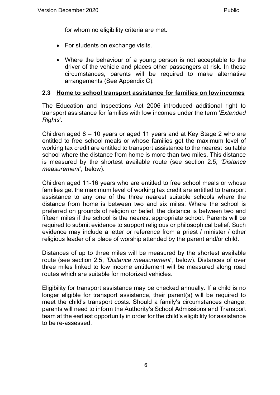for whom no eligibility criteria are met.

- For students on exchange visits.
- Where the behaviour of a young person is not acceptable to the driver of the vehicle and places other passengers at risk. In these circumstances, parents will be required to make alternative arrangements (See Appendix C).

# <span id="page-5-0"></span>**2.3 Home to school transport assistance for families on low incomes**

The Education and Inspections Act 2006 introduced additional right to transport assistance for families with low incomes under the term '*Extended Rights'.*

Children aged 8 – 10 years or aged 11 years and at Key Stage 2 who are entitled to free school meals or whose families get the maximum level of working tax credit are entitled to transport assistance to the nearest suitable school where the distance from home is more than two miles. This distance is measured by the shortest available route (see section 2.5, *'Distance measurement'*, below).

Children aged 11-16 years who are entitled to free school meals or whose families get the maximum level of working tax credit are entitled to transport assistance to any one of the three nearest suitable schools where the distance from home is between two and six miles. Where the school is preferred on grounds of religion or belief, the distance is between two and fifteen miles if the school is the nearest appropriate school. Parents will be required to submit evidence to support religious or philosophical belief. Such evidence may include a letter or reference from a priest / minister / other religious leader of a place of worship attended by the parent and/or child.

Distances of up to three miles will be measured by the shortest available route (see section 2.5, *'Distance measurement'*, below). Distances of over three miles linked to low income entitlement will be measured along road routes which are suitable for motorized vehicles.

Eligibility for transport assistance may be checked annually. If a child is no longer eligible for transport assistance, their parent(s) will be required to meet the child's transport costs. Should a family's circumstances change, parents will need to inform the Authority's School Admissions and Transport team at the earliest opportunity in order for the child's eligibility for assistance to be re-assessed.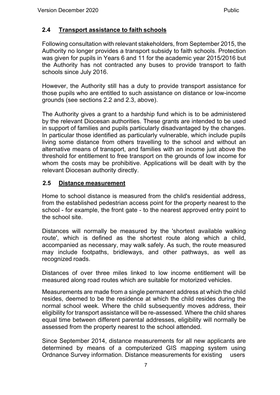# <span id="page-6-0"></span>**2.4 Transport assistance to faith schools**

Following consultation with relevant stakeholders, from September 2015, the Authority no longer provides a transport subsidy to faith schools. Protection was given for pupils in Years 6 and 11 for the academic year 2015/2016 but the Authority has not contracted any buses to provide transport to faith schools since July 2016.

However, the Authority still has a duty to provide transport assistance for those pupils who are entitled to such assistance on distance or low-income grounds (see sections 2.2 and 2.3, above).

The Authority gives a grant to a hardship fund which is to be administered by the relevant Diocesan authorities. These grants are intended to be used in support of families and pupils particularly disadvantaged by the changes. In particular those identified as particularly vulnerable, which include pupils living some distance from others travelling to the school and without an alternative means of transport, and families with an income just above the threshold for entitlement to free transport on the grounds of low income for whom the costs may be prohibitive. Applications will be dealt with by the relevant Diocesan authority directly.

# <span id="page-6-1"></span>**2.5 Distance measurement**

Home to school distance is measured from the child's residential address, from the established pedestrian access point for the property nearest to the school - for example, the front gate - to the nearest approved entry point to the school site.

Distances will normally be measured by the 'shortest available walking route', which is defined as the shortest route along which a child, accompanied as necessary, may walk safely. As such, the route measured may include footpaths, bridleways, and other pathways, as well as recognized roads.

Distances of over three miles linked to low income entitlement will be measured along road routes which are suitable for motorized vehicles.

Measurements are made from a single permanent address at which the child resides, deemed to be the residence at which the child resides during the normal school week. Where the child subsequently moves address, their eligibility for transport assistance will be re-assessed. Where the child shares equal time between different parental addresses, eligibility will normally be assessed from the property nearest to the school attended.

Since September 2014, distance measurements for all new applicants are determined by means of a computerized GIS mapping system using Ordnance Survey information. Distance measurements for existing users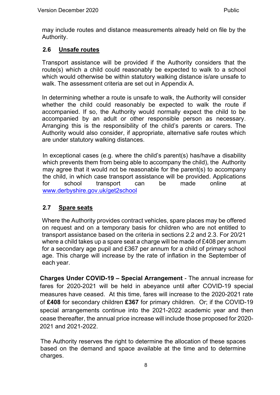may include routes and distance measurements already held on file by the Authority.

# <span id="page-7-0"></span>**2.6 Unsafe routes**

Transport assistance will be provided if the Authority considers that the route(s) which a child could reasonably be expected to walk to a school which would otherwise be within statutory walking distance is/are unsafe to walk. The assessment criteria are set out in Appendix A.

In determining whether a route is unsafe to walk, the Authority will consider whether the child could reasonably be expected to walk the route if accompanied. If so, the Authority would normally expect the child to be accompanied by an adult or other responsible person as necessary. Arranging this is the responsibility of the child's parents or carers. The Authority would also consider, if appropriate, alternative safe routes which are under statutory walking distances.

In exceptional cases (e.g. where the child's parent(s) has/have a disability which prevents them from being able to accompany the child), the Authority may agree that it would not be reasonable for the parent(s) to accompany the child, in which case transport assistance will be provided. Applications for school transport can be made online at [www.derbyshire.gov.uk/get2school](http://www.derbyshire.gov.uk/get2school)

# <span id="page-7-1"></span>**2.7 Spare seats**

Where the Authority provides contract vehicles, spare places may be offered on request and on a temporary basis for children who are not entitled to transport assistance based on the criteria in sections 2.2 and 2.3. For 20/21 where a child takes up a spare seat a charge will be made of £408 per annum for a secondary age pupil and £367 per annum for a child of primary school age. This charge will increase by the rate of inflation in the September of each year.

**Charges Under COVID-19 – Special Arrangement** - The annual increase for fares for 2020-2021 will be held in abeyance until after COVID-19 special measures have ceased. At this time, fares will increase to the 2020-2021 rate of **£408** for secondary children **£367** for primary children. Or; if the COVID-19 special arrangements continue into the 2021-2022 academic year and then cease thereafter, the annual price increase will include those proposed for 2020- 2021 and 2021-2022.

The Authority reserves the right to determine the allocation of these spaces based on the demand and space available at the time and to determine charges.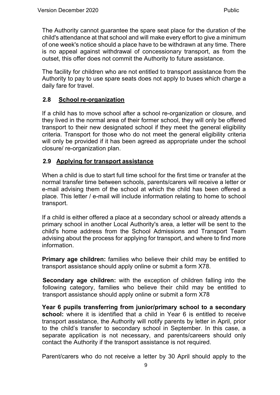The Authority cannot guarantee the spare seat place for the duration of the child's attendance at that school and will make every effort to give a minimum of one week's notice should a place have to be withdrawn at any time. There is no appeal against withdrawal of concessionary transport, as from the outset, this offer does not commit the Authority to future assistance.

The facility for children who are not entitled to transport assistance from the Authority to pay to use spare seats does not apply to buses which charge a daily fare for travel.

# <span id="page-8-0"></span>**2.8 School re-organization**

If a child has to move school after a school re-organization or closure, and they lived in the normal area of their former school, they will only be offered transport to their new designated school if they meet the general eligibility criteria. Transport for those who do not meet the general eligibility criteria will only be provided if it has been agreed as appropriate under the school closure/ re-organization plan.

# <span id="page-8-1"></span>**2.9 Applying for transport assistance**

When a child is due to start full time school for the first time or transfer at the normal transfer time between schools, parents/carers will receive a letter or e-mail advising them of the school at which the child has been offered a place. This letter / e-mail will include information relating to home to school transport.

If a child is either offered a place at a secondary school or already attends a primary school in another Local Authority's area, a letter will be sent to the child's home address from the School Admissions and Transport Team advising about the process for applying for transport, and where to find more information.

**Primary age children:** families who believe their child may be entitled to transport assistance should apply online or submit a form X78.

**Secondary age children:** with the exception of children falling into the following category, families who believe their child may be entitled to transport assistance should apply online or submit a form X78

**Year 6 pupils transferring from junior/primary school to a secondary school:** where it is identified that a child in Year 6 is entitled to receive transport assistance, the Authority will notify parents by letter in April, prior to the child's transfer to secondary school in September. In this case, a separate application is not necessary, and parents/careers should only contact the Authority if the transport assistance is not required.

Parent/carers who do not receive a letter by 30 April should apply to the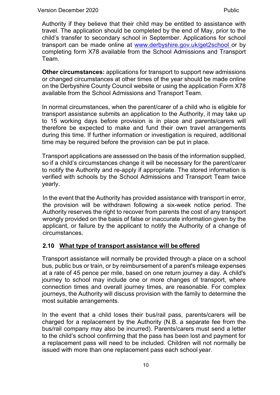Authority if they believe that their child may be entitled to assistance with travel. The application should be completed by the end of May, prior to the child's transfer to secondary school in September. Applications for school transport can be made online at [www.derbyshire.gov.uk/get2school o](http://www.derbyshire.gov.uk/get2school)r by completing form X78 available from the School Admissions and Transport Team.

**Other circumstances:** applications for transport to support new admissions or changed circumstances at other times of the year should be made online on the Derbyshire County Council website or using the application Form X78 available from the School Admissions and Transport Team.

In normal circumstances, when the parent/carer of a child who is eligible for transport assistance submits an application to the Authority, it may take up to 15 working days before provision is in place and parents/carers will therefore be expected to make and fund their own travel arrangements during this time. If further information or investigation is required, additional time may be required before the provision can be put in place.

Transport applications are assessed on the basis of the information supplied, so if a child's circumstances change it will be necessary for the parent/carer to notify the Authority and re-apply if appropriate. The stored information is verified with schools by the School Admissions and Transport Team twice yearly.

In the event that the Authority has provided assistance with transport in error, the provision will be withdrawn following a six-week notice period. The Authority reserves the right to recover from parents the cost of any transport wrongly provided on the basis of false or inaccurate information given by the applicant, or failure by the applicant to notify the Authority of a change of circumstances.

# <span id="page-9-0"></span>**2.10 What type of transport assistance will be offered**

Transport assistance will normally be provided through a place on a school bus, public bus or train, or by reimbursement of a parent's mileage expenses at a rate of 45 pence per mile, based on one return journey a day. A child's journey to school may include one or more changes of transport, where connection times and overall journey times, are reasonable. For complex journeys, the Authority will discuss provision with the family to determine the most suitable arrangements.

In the event that a child loses their bus/rail pass, parents/carers will be charged for a replacement by the Authority (N.B. a separate fee from the bus/rail company may also be incurred). Parents/carers must send a letter to the child's school confirming that the pass has been lost and payment for a replacement pass will need to be included. Children will not normally be issued with more than one replacement pass each school year.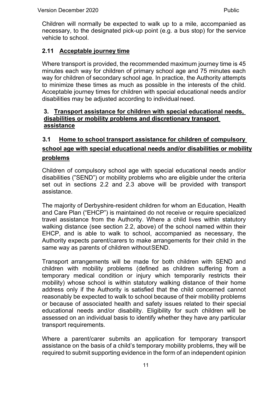Children will normally be expected to walk up to a mile, accompanied as necessary, to the designated pick-up point (e.g. a bus stop) for the service vehicle to school.

# <span id="page-10-0"></span>**2.11 Acceptable journey time**

Where transport is provided, the recommended maximum journey time is 45 minutes each way for children of primary school age and 75 minutes each way for children of secondary school age. In practice, the Authority attempts to minimize these times as much as possible in the interests of the child. Acceptable journey times for children with special educational needs and/or disabilities may be adjusted according to individual need.

### <span id="page-10-1"></span>**3. Transport assistance for children with special educational needs, disabilities or mobility problems and discretionary transport assistance**

# <span id="page-10-2"></span>**3.1 Home to school transport assistance for children of compulsory school age with special educational needs and/or disabilities or mobility problems**

Children of compulsory school age with special educational needs and/or disabilities ("SEND") or mobility problems who are eligible under the criteria set out in sections 2.2 and 2.3 above will be provided with transport assistance.

The majority of Derbyshire-resident children for whom an Education, Health and Care Plan ("EHCP") is maintained do not receive or require specialized travel assistance from the Authority. Where a child lives within statutory walking distance (see section 2.2, above) of the school named within their EHCP, and is able to walk to school, accompanied as necessary, the Authority expects parent/carers to make arrangements for their child in the same way as parents of children withoutSEND.

Transport arrangements will be made for both children with SEND and children with mobility problems (defined as children suffering from a temporary medical condition or injury which temporarily restricts their mobility) whose school is within statutory walking distance of their home address only if the Authority is satisfied that the child concerned cannot reasonably be expected to walk to school because of their mobility problems or because of associated health and safety issues related to their special educational needs and/or disability. Eligibility for such children will be assessed on an individual basis to identify whether they have any particular transport requirements.

Where a parent/carer submits an application for temporary transport assistance on the basis of a child's temporary mobility problems, they will be required to submit supporting evidence in the form of an independent opinion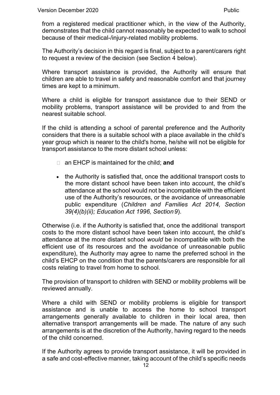from a registered medical practitioner which, in the view of the Authority, demonstrates that the child cannot reasonably be expected to walk to school because of their medical-/injury-related mobility problems.

The Authority's decision in this regard is final, subject to a parent/carers right to request a review of the decision (see Section 4 below).

Where transport assistance is provided, the Authority will ensure that children are able to travel in safety and reasonable comfort and that journey times are kept to a minimum.

Where a child is eligible for transport assistance due to their SEND or mobility problems, transport assistance will be provided to and from the nearest suitable school.

If the child is attending a school of parental preference and the Authority considers that there is a suitable school with a place available in the child's year group which is nearer to the child's home, he/she will not be eligible for transport assistance to the more distant school unless:

- an EHCP is maintained for the child; **and**
- the Authority is satisfied that, once the additional transport costs to the more distant school have been taken into account, the child's attendance at the school would not be incompatible with the efficient use of the Authority's resources, or the avoidance of unreasonable public expenditure (*Children and Families Act 2014, Section 39(4)(b)(ii); Education Act 1996, Section9*).

Otherwise (i.e. if the Authority is satisfied that, once the additional transport costs to the more distant school have been taken into account, the child's attendance at the more distant school *would* be incompatible with both the efficient use of its resources and the avoidance of unreasonable public expenditure), the Authority may agree to name the preferred school in the child's EHCP on the condition that the parents/carers are responsible for all costs relating to travel from home to school.

The provision of transport to children with SEND or mobility problems will be reviewed annually.

Where a child with SEND or mobility problems is eligible for transport assistance and is unable to access the home to school transport arrangements generally available to children in their local area, then alternative transport arrangements will be made. The nature of any such arrangements is at the discretion of the Authority, having regard to the needs of the child concerned.

If the Authority agrees to provide transport assistance, it will be provided in a safe and cost-effective manner, taking account of the child's specific needs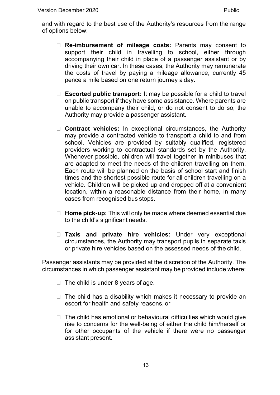and with regard to the best use of the Authority's resources from the range of options below:

- **Re-imbursement of mileage costs:** Parents may consent to support their child in travelling to school, either through accompanying their child in place of a passenger assistant or by driving their own car. In these cases, the Authority may remunerate the costs of travel by paying a mileage allowance, currently 45 pence a mile based on one return journey a day.
- **Escorted public transport:** It may be possible for a child to travel on public transport if they have some assistance. Where parents are unable to accompany their child, or do not consent to do so, the Authority may provide a passenger assistant.
- **Contract vehicles:** In exceptional circumstances, the Authority may provide a contracted vehicle to transport a child to and from school. Vehicles are provided by suitably qualified, registered providers working to contractual standards set by the Authority. Whenever possible, children will travel together in minibuses that are adapted to meet the needs of the children travelling on them. Each route will be planned on the basis of school start and finish times and the shortest possible route for all children travelling on a vehicle. Children will be picked up and dropped off at a convenient location, within a reasonable distance from their home, in many cases from recognised bus stops.
- **Home pick-up:** This will only be made where deemed essential due to the child's significant needs.
- **Taxis and private hire vehicles:** Under very exceptional circumstances, the Authority may transport pupils in separate taxis or private hire vehicles based on the assessed needs of the child.

Passenger assistants may be provided at the discretion of the Authority. The circumstances in which passenger assistant may be provided include where:

- $\Box$  The child is under 8 years of age.
- $\Box$  The child has a disability which makes it necessary to provide an escort for health and safety reasons, or
- $\Box$  The child has emotional or behavioural difficulties which would give rise to concerns for the well-being of either the child him/herself or for other occupants of the vehicle if there were no passenger assistant present.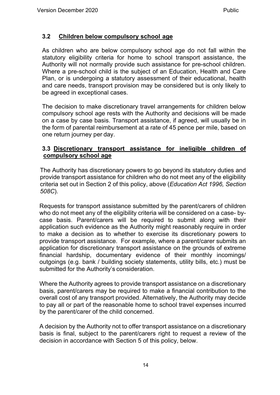# <span id="page-13-0"></span>**3.2 Children below compulsory school age**

As children who are below compulsory school age do not fall within the statutory eligibility criteria for home to school transport assistance, the Authority will not normally provide such assistance for pre-school children. Where a pre-school child is the subject of an Education, Health and Care Plan, or is undergoing a statutory assessment of their educational, health and care needs, transport provision may be considered but is only likely to be agreed in exceptional cases.

The decision to make discretionary travel arrangements for children below compulsory school age rests with the Authority and decisions will be made on a case by case basis. Transport assistance, if agreed, will usually be in the form of parental reimbursement at a rate of 45 pence per mile, based on one return journey per day.

### <span id="page-13-1"></span>**3.3 Discretionary transport assistance for ineligible children of compulsory school age**

The Authority has discretionary powers to go beyond its statutory duties and provide transport assistance for children who do not meet any of the eligibility criteria set out in Section 2 of this policy, above (*Education Act 1996, Section 508C*).

Requests for transport assistance submitted by the parent/carers of children who do not meet any of the eligibility criteria will be considered on a case- bycase basis. Parent/carers will be required to submit along with their application such evidence as the Authority might reasonably require in order to make a decision as to whether to exercise its discretionary powers to provide transport assistance. For example, where a parent/carer submits an application for discretionary transport assistance on the grounds of extreme financial hardship, documentary evidence of their monthly incomings/ outgoings (e.g. bank / building society statements, utility bills, etc.) must be submitted for the Authority's consideration.

Where the Authority agrees to provide transport assistance on a discretionary basis, parent/carers may be required to make a financial contribution to the overall cost of any transport provided. Alternatively, the Authority may decide to pay all or part of the reasonable home to school travel expenses incurred by the parent/carer of the child concerned.

A decision by the Authority not to offer transport assistance on a discretionary basis is final, subject to the parent/carers right to request a review of the decision in accordance with Section 5 of this policy, below.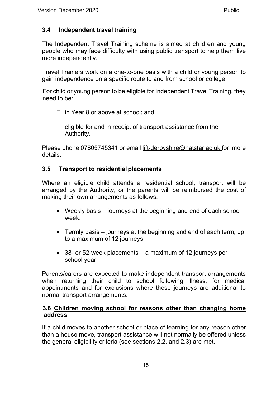# <span id="page-14-0"></span>**3.4 Independent travel training**

The Independent Travel Training scheme is aimed at children and young people who may face difficulty with using public transport to help them live more independently.

Travel Trainers work on a one-to-one basis with a child or young person to gain independence on a specific route to and from school or college.

For child or young person to be eligible for Independent Travel Training, they need to be:

- $\Box$  in Year 8 or above at school; and
- $\Box$  eligible for and in receipt of transport assistance from the Authority.

Please phone 07805745341 or email [lift-derbvshire@natstar.ac.uk](mailto:lift-derbvshire@natstar.ac.uk) for more details.

# <span id="page-14-1"></span>**3.5 Transport to residential placements**

Where an eligible child attends a residential school, transport will be arranged by the Authority, or the parents will be reimbursed the cost of making their own arrangements as follows:

- Weekly basis journeys at the beginning and end of each school week.
- Termly basis journeys at the beginning and end of each term, up to a maximum of 12 journeys.
- 38- or 52-week placements a maximum of 12 journeys per school year.

Parents/carers are expected to make independent transport arrangements when returning their child to school following illness, for medical appointments and for exclusions where these journeys are additional to normal transport arrangements.

#### <span id="page-14-2"></span>**3.6 Children moving school for reasons other than changing home address**

If a child moves to another school or place of learning for any reason other than a house move, transport assistance will not normally be offered unless the general eligibility criteria (see sections 2.2. and 2.3) are met.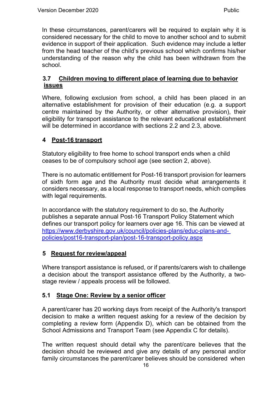In these circumstances, parent/carers will be required to explain why it is considered necessary for the child to move to another school and to submit evidence in support of their application. Such evidence may include a letter from the head teacher of the child's previous school which confirms his/her understanding of the reason why the child has been withdrawn from the school.

# <span id="page-15-0"></span>**3.7 Children moving to different place of learning due to behavior issues**

Where, following exclusion from school, a child has been placed in an alternative establishment for provision of their education (e.g. a support centre maintained by the Authority, or other alternative provision), their eligibility for transport assistance to the relevant educational establishment will be determined in accordance with sections 2.2 and 2.3, above.

# <span id="page-15-1"></span>**4 Post-16 transport**

Statutory eligibility to free home to school transport ends when a child ceases to be of compulsory school age (see section 2, above).

There is no automatic entitlement for Post-16 transport provision for learners of sixth form age and the Authority must decide what arrangements it considers necessary, as a local response to transport needs, which complies with legal requirements.

In accordance with the statutory requirement to do so, the Authority publishes a separate annual Post-16 Transport Policy Statement which defines our transport policy for learners over age 16. This can be viewed at [https://www.derbyshire.gov.uk/c](http://www.derbyshire.gov.uk/council/policies-plans/educ-plans-and-)oun[cil/polici](http://www.derbyshire.gov.uk/council/policies-plans/educ-plans-and-)e[s-plans/educ-plans-and](http://www.derbyshire.gov.uk/council/policies-plans/educ-plans-and-)policies/post16-transport-plan/post-16-transport-policy.aspx

### <span id="page-15-2"></span>**5 Request for review/appeal**

Where transport assistance is refused, or if parents/carers wish to challenge a decision about the transport assistance offered by the Authority, a twostage review / appeals process will be followed.

# <span id="page-15-3"></span>**5.1 Stage One: Review by a senior officer**

A parent/carer has 20 working days from receipt of the Authority's transport decision to make a written request asking for a review of the decision by completing a review form (Appendix D), which can be obtained from the School Admissions and Transport Team (see Appendix C for details).

The written request should detail why the parent/care believes that the decision should be reviewed and give any details of any personal and/or family circumstances the parent/carer believes should be considered when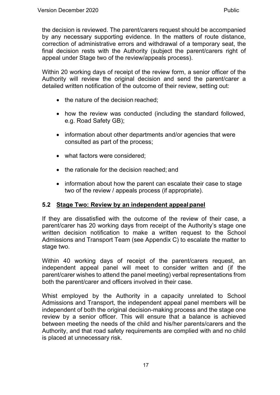the decision is reviewed. The parent/carers request should be accompanied by any necessary supporting evidence. In the matters of route distance, correction of administrative errors and withdrawal of a temporary seat, the final decision rests with the Authority (subject the parent/carers right of appeal under Stage two of the review/appeals process).

Within 20 working days of receipt of the review form, a senior officer of the Authority will review the original decision and send the parent/carer a detailed written notification of the outcome of their review, setting out:

- the nature of the decision reached;
- how the review was conducted (including the standard followed, e.g. Road Safety GB);
- information about other departments and/or agencies that were consulted as part of the process;
- what factors were considered;
- the rationale for the decision reached; and
- information about how the parent can escalate their case to stage two of the review / appeals process (if appropriate).

# <span id="page-16-0"></span>**5.2 Stage Two: Review by an independent appealpanel**

If they are dissatisfied with the outcome of the review of their case, a parent/carer has 20 working days from receipt of the Authority's stage one written decision notification to make a written request to the School Admissions and Transport Team (see Appendix C) to escalate the matter to stage two.

Within 40 working days of receipt of the parent/carers request, an independent appeal panel will meet to consider written and (if the parent/carer wishes to attend the panel meeting) verbal representations from both the parent/carer and officers involved in their case.

Whist employed by the Authority in a capacity unrelated to School Admissions and Transport, the independent appeal panel members will be independent of both the original decision-making process and the stage one review by a senior officer. This will ensure that a balance is achieved between meeting the needs of the child and his/her parents/carers and the Authority, and that road safety requirements are complied with and no child is placed at unnecessary risk.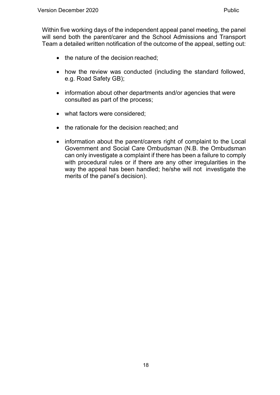Within five working days of the independent appeal panel meeting, the panel will send both the parent/carer and the School Admissions and Transport Team a detailed written notification of the outcome of the appeal, setting out:

- the nature of the decision reached;
- how the review was conducted (including the standard followed, e.g. Road Safety GB);
- information about other departments and/or agencies that were consulted as part of the process;
- what factors were considered;
- the rationale for the decision reached; and
- information about the parent/carers right of complaint to the Local Government and Social Care Ombudsman (N.B. the Ombudsman can only investigate a complaint if there has been a failure to comply with procedural rules or if there are any other irregularities in the way the appeal has been handled; he/she will not investigate the merits of the panel's decision).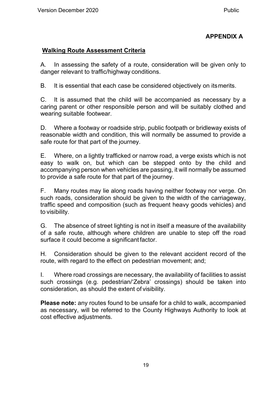# **APPENDIX A**

# <span id="page-18-0"></span>**Walking Route Assessment Criteria**

A. In assessing the safety of a route, consideration will be given only to danger relevant to traffic/highway conditions.

B. It is essential that each case be considered objectively on itsmerits.

C. It is assumed that the child will be accompanied as necessary by a caring parent or other responsible person and will be suitably clothed and wearing suitable footwear.

D. Where a footway or roadside strip, public footpath or bridleway exists of reasonable width and condition, this will normally be assumed to provide a safe route for that part of the journey.

E. Where, on a lightly trafficked or narrow road, a verge exists which is not easy to walk on, but which can be stepped onto by the child and accompanying person when vehicles are passing, it will normally be assumed to provide a safe route for that part of the journey.

F. Many routes may lie along roads having neither footway nor verge. On such roads, consideration should be given to the width of the carriageway, traffic speed and composition (such as frequent heavy goods vehicles) and to visibility.

G. The absence of street lighting is not in itself a measure of the availability of a safe route, although where children are unable to step off the road surface it could become a significant factor.

H. Consideration should be given to the relevant accident record of the route, with regard to the effect on pedestrian movement; and;

I. Where road crossings are necessary, the availability of facilities to assist such crossings (e.g. pedestrian/'Zebra' crossings) should be taken into consideration, as should the extent of visibility.

**Please note:** any routes found to be unsafe for a child to walk, accompanied as necessary, will be referred to the County Highways Authority to look at cost effective adjustments.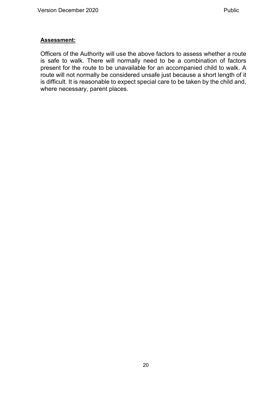#### **Assessment:**

Officers of the Authority will use the above factors to assess whether a route is safe to walk. There will normally need to be a combination of factors present for the route to be unavailable for an accompanied child to walk. A route will not normally be considered unsafe just because a short length of it is difficult. It is reasonable to expect special care to be taken by the child and, where necessary, parent places.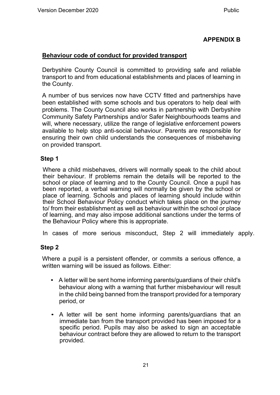### **APPENDIX B**

#### <span id="page-20-0"></span>**Behaviour code of conduct for provided transport**

Derbyshire County Council is committed to providing safe and reliable transport to and from educational establishments and places of learning in the County.

A number of bus services now have CCTV fitted and partnerships have been established with some schools and bus operators to help deal with problems. The County Council also works in partnership with Derbyshire Community Safety Partnerships and/or Safer Neighbourhoods teams and will, where necessary, utilize the range of legislative enforcement powers available to help stop anti-social behaviour. Parents are responsible for ensuring their own child understands the consequences of misbehaving on provided transport.

#### **Step 1**

Where a child misbehaves, drivers will normally speak to the child about their behaviour. If problems remain the details will be reported to the school or place of learning and to the County Council. Once a pupil has been reported, a verbal warning will normally be given by the school or place of learning. Schools and places of learning should include within their School Behaviour Policy conduct which takes place on the journey to/ from their establishment as well as behaviour within the school or place of learning, and may also impose additional sanctions under the terms of the Behaviour Policy where this is appropriate.

In cases of more serious misconduct, Step 2 will immediately apply.

### **Step 2**

Where a pupil is a persistent offender, or commits a serious offence, a written warning will be issued as follows. Either:

- A letter will be sent home informing parents/guardians of their child's behaviour along with a warning that further misbehaviour will result in the child being banned from the transport provided for a temporary period, or
- A letter will be sent home informing parents/guardians that an immediate ban from the transport provided has been imposed for a specific period. Pupils may also be asked to sign an acceptable behaviour contract before they are allowed to return to the transport provided.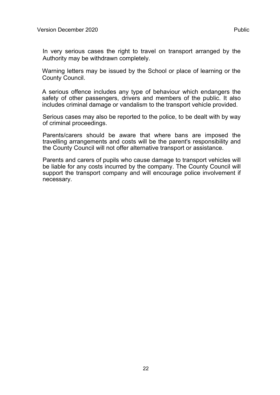In very serious cases the right to travel on transport arranged by the Authority may be withdrawn completely.

Warning letters may be issued by the School or place of learning or the County Council.

A serious offence includes any type of behaviour which endangers the safety of other passengers, drivers and members of the public. It also includes criminal damage or vandalism to the transport vehicle provided.

Serious cases may also be reported to the police, to be dealt with by way of criminal proceedings.

Parents/carers should be aware that where bans are imposed the travelling arrangements and costs will be the parent's responsibility and the County Council will not offer alternative transport or assistance.

Parents and carers of pupils who cause damage to transport vehicles will be liable for any costs incurred by the company. The County Council will support the transport company and will encourage police involvement if necessary.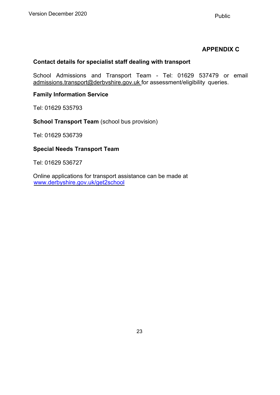# **APPENDIX C**

#### <span id="page-22-0"></span>**Contact details for specialist staff dealing with transport**

School Admissions and Transport Team - Tel: 01629 537479 or email [admissions.transport@derbvshire.gov.uk f](mailto:admissions.transport@derbvshire.gov.uk)or assessment/eligibility queries.

#### **Family Information Service**

Tel: 01629 535793

**School Transport Team** (school bus provision)

Tel: 01629 536739

#### **Special Needs Transport Team**

Tel: 01629 536727

Online applications for transport assistance can be made at [www.derbyshire.gov.uk/get2school](http://www.derbyshire.gov.uk/get2school)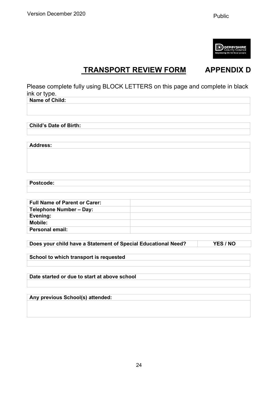

# **TRANSPORT REVIEW FORM APPENDIX D**

<span id="page-23-0"></span>Please complete fully using BLOCK LETTERS on this page and complete in black ink or type.

| <b>Name of Child:</b>                                         |          |
|---------------------------------------------------------------|----------|
|                                                               |          |
|                                                               |          |
|                                                               |          |
| <b>Child's Date of Birth:</b>                                 |          |
|                                                               |          |
|                                                               |          |
| <b>Address:</b>                                               |          |
|                                                               |          |
|                                                               |          |
|                                                               |          |
|                                                               |          |
|                                                               |          |
| Postcode:                                                     |          |
|                                                               |          |
|                                                               |          |
| <b>Full Name of Parent or Carer:</b>                          |          |
| <b>Telephone Number - Day:</b>                                |          |
| Evening:                                                      |          |
| <b>Mobile:</b>                                                |          |
| <b>Personal email:</b>                                        |          |
|                                                               |          |
| Does your child have a Statement of Special Educational Need? | YES / NO |
|                                                               |          |
| School to which transport is requested                        |          |
|                                                               |          |
|                                                               |          |
| Date started or due to start at above school                  |          |

**Any previous School(s) attended:**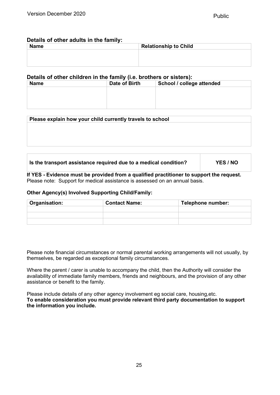#### **Details of other adults in the family:**

| <b>Name</b> | <b>Relationship to Child</b> |
|-------------|------------------------------|
|             |                              |
|             |                              |
|             |                              |

#### **Details of other children in the family (i.e. brothers or sisters):**

| <b>Name</b> | Date of Birth<br>School / college attended |  |
|-------------|--------------------------------------------|--|
|             |                                            |  |
|             |                                            |  |
|             |                                            |  |
|             |                                            |  |

| Please explain how your child currently travels to school |  |
|-----------------------------------------------------------|--|
|                                                           |  |
|                                                           |  |
|                                                           |  |
|                                                           |  |

#### **Is the transport assistance required due to a medical condition? YES / NO**

**If YES - Evidence must be provided from a qualified practitioner to support the request.**  Please note: Support for medical assistance is assessed on an annual basis.

#### **Other Agency(s) Involved Supporting Child/Family:**

| <b>Organisation:</b> | <b>Contact Name:</b> | Telephone number: |
|----------------------|----------------------|-------------------|
|                      |                      |                   |
|                      |                      |                   |
|                      |                      |                   |

Please note financial circumstances or normal parental working arrangements will not usually, by themselves, be regarded as exceptional family circumstances.

Where the parent / carer is unable to accompany the child, then the Authority will consider the availability of immediate family members, friends and neighbours, and the provision of any other assistance or benefit to the family.

Please include details of any other agency involvement eg social care, housing,etc. **To enable consideration you must provide relevant third party documentation to support the information you include.**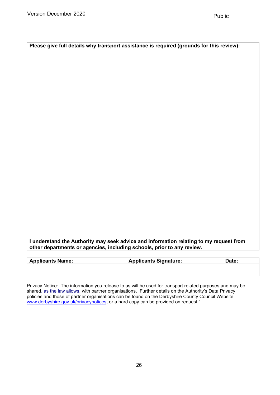| I understand the Authority may seek advice and information relating to my request from |  |
|----------------------------------------------------------------------------------------|--|
| other departments or agencies, including schools, prior to any review.                 |  |

**Please give full details why transport assistance is required (grounds for this review):**

| <b>Applicants Name:</b> | <b>Applicants Signature:</b> | Date: |
|-------------------------|------------------------------|-------|
|                         |                              |       |
|                         |                              |       |

Privacy Notice: The information you release to us will be used for transport related purposes and may be shared, as the law allows, with partner organisations. Further details on the Authority's Data Privacy policies and those of partner organisations can be found on the Derbyshire County Council Website [www.derbyshire.gov.uk/privacynotices,](http://www.derbyshire.gov.uk/privacynotices) or a hard copy can be provided on request.'